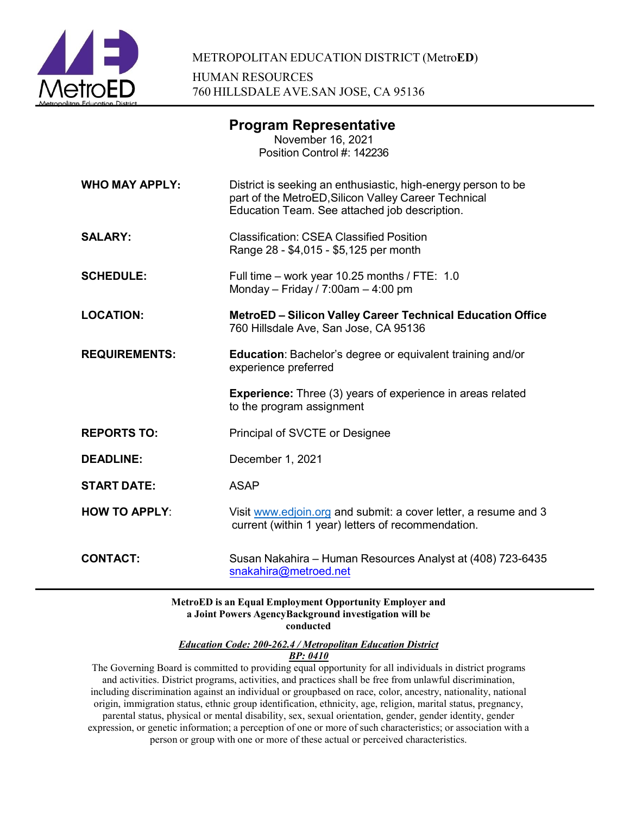

|                       | <b>Program Representative</b><br>November 16, 2021<br>Position Control #: 142236                                                                                       |
|-----------------------|------------------------------------------------------------------------------------------------------------------------------------------------------------------------|
| <b>WHO MAY APPLY:</b> | District is seeking an enthusiastic, high-energy person to be<br>part of the MetroED, Silicon Valley Career Technical<br>Education Team. See attached job description. |
| <b>SALARY:</b>        | <b>Classification: CSEA Classified Position</b><br>Range 28 - \$4,015 - \$5,125 per month                                                                              |
| <b>SCHEDULE:</b>      | Full time - work year 10.25 months / FTE: 1.0<br>Monday - Friday / 7:00am - 4:00 pm                                                                                    |
| <b>LOCATION:</b>      | <b>MetroED - Silicon Valley Career Technical Education Office</b><br>760 Hillsdale Ave, San Jose, CA 95136                                                             |
| <b>REQUIREMENTS:</b>  | <b>Education: Bachelor's degree or equivalent training and/or</b><br>experience preferred                                                                              |
|                       | <b>Experience:</b> Three (3) years of experience in areas related<br>to the program assignment                                                                         |
| <b>REPORTS TO:</b>    | Principal of SVCTE or Designee                                                                                                                                         |
| <b>DEADLINE:</b>      | December 1, 2021                                                                                                                                                       |
| <b>START DATE:</b>    | <b>ASAP</b>                                                                                                                                                            |
| <b>HOW TO APPLY:</b>  | Visit www.edjoin.org and submit: a cover letter, a resume and 3<br>current (within 1 year) letters of recommendation.                                                  |
| <b>CONTACT:</b>       | Susan Nakahira – Human Resources Analyst at (408) 723-6435<br>snakahira@metroed.net                                                                                    |

#### **MetroED is an Equal Employment Opportunity Employer and a Joint Powers AgencyBackground investigation will be conducted**

*Education Code: 200-262.4 / Metropolitan Education District*

# *BP: 0410*

The Governing Board is committed to providing equal opportunity for all individuals in district programs and activities. District programs, activities, and practices shall be free from unlawful discrimination, including discrimination against an individual or groupbased on race, color, ancestry, nationality, national origin, immigration status, ethnic group identification, ethnicity, age, religion, marital status, pregnancy, parental status, physical or mental disability, sex, sexual orientation, gender, gender identity, gender expression, or genetic information; a perception of one or more of such characteristics; or association with a person or group with one or more of these actual or perceived characteristics.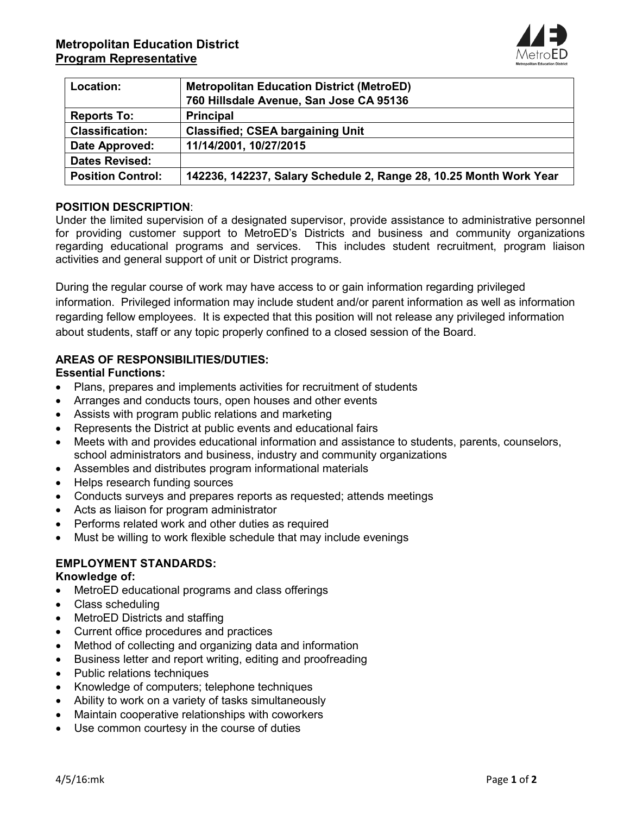

| Location:                | <b>Metropolitan Education District (MetroED)</b>                   |
|--------------------------|--------------------------------------------------------------------|
|                          | 760 Hillsdale Avenue, San Jose CA 95136                            |
| <b>Reports To:</b>       | <b>Principal</b>                                                   |
| <b>Classification:</b>   | <b>Classified: CSEA bargaining Unit</b>                            |
| Date Approved:           | 11/14/2001, 10/27/2015                                             |
| <b>Dates Revised:</b>    |                                                                    |
| <b>Position Control:</b> | 142236, 142237, Salary Schedule 2, Range 28, 10.25 Month Work Year |

# **POSITION DESCRIPTION**:

Under the limited supervision of a designated supervisor, provide assistance to administrative personnel for providing customer support to MetroED's Districts and business and community organizations regarding educational programs and services. This includes student recruitment, program liaison activities and general support of unit or District programs.

During the regular course of work may have access to or gain information regarding privileged information. Privileged information may include student and/or parent information as well as information regarding fellow employees. It is expected that this position will not release any privileged information about students, staff or any topic properly confined to a closed session of the Board.

# **AREAS OF RESPONSIBILITIES/DUTIES:**

#### **Essential Functions:**

- Plans, prepares and implements activities for recruitment of students
- Arranges and conducts tours, open houses and other events
- Assists with program public relations and marketing
- Represents the District at public events and educational fairs
- Meets with and provides educational information and assistance to students, parents, counselors, school administrators and business, industry and community organizations
- Assembles and distributes program informational materials
- Helps research funding sources
- Conducts surveys and prepares reports as requested; attends meetings
- Acts as liaison for program administrator
- Performs related work and other duties as required
- Must be willing to work flexible schedule that may include evenings

# **EMPLOYMENT STANDARDS:**

#### **Knowledge of:**

- MetroED educational programs and class offerings
- Class scheduling
- MetroED Districts and staffing
- Current office procedures and practices
- Method of collecting and organizing data and information
- Business letter and report writing, editing and proofreading
- Public relations techniques
- Knowledge of computers; telephone techniques
- Ability to work on a variety of tasks simultaneously
- Maintain cooperative relationships with coworkers
- Use common courtesy in the course of duties